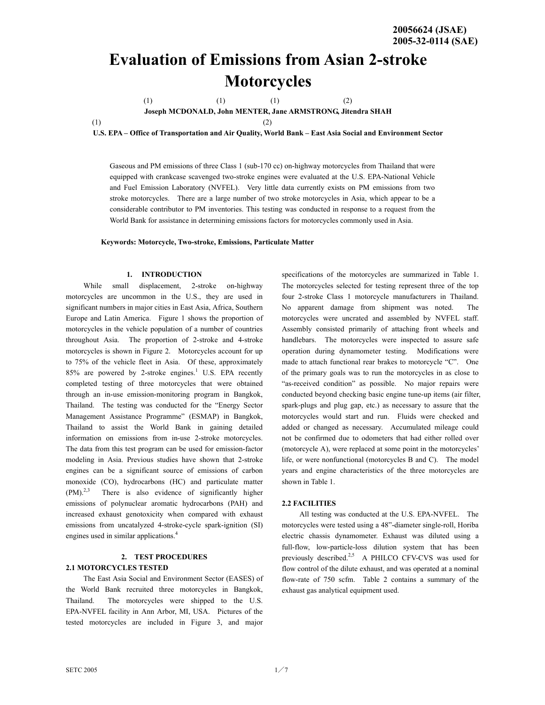# **Evaluation of Emissions from Asian 2-stroke Motorcycles**

(1)  $(1)$   $(2)$ 

**Joseph MCDONALD, John MENTER, Jane ARMSTRONG, Jitendra SHAH** 

 $(1)$  (2)

**U.S. EPA – Office of Transportation and Air Quality, World Bank – East Asia Social and Environment Sector** 

Gaseous and PM emissions of three Class 1 (sub-170 cc) on-highway motorcycles from Thailand that were equipped with crankcase scavenged two-stroke engines were evaluated at the U.S. EPA-National Vehicle and Fuel Emission Laboratory (NVFEL). Very little data currently exists on PM emissions from two stroke motorcycles. There are a large number of two stroke motorcycles in Asia, which appear to be a considerable contributor to PM inventories. This testing was conducted in response to a request from the World Bank for assistance in determining emissions factors for motorcycles commonly used in Asia.

**Keywords: Motorcycle, Two-stroke, Emissions, Particulate Matter** 

#### **1. INTRODUCTION**

While small displacement, 2-stroke on-highway motorcycles are uncommon in the U.S., they are used in significant numbers in major cities in East Asia, Africa, Southern Europe and Latin America. Figure 1 shows the proportion of motorcycles in the vehicle population of a number of countries throughout Asia. The proportion of 2-stroke and 4-stroke motorcycles is shown in Figure 2. Motorcycles account for up to 75% of the vehicle fleet in Asia. Of these, approximately  $85\%$  are powered by 2-stroke engines.<sup>1</sup> U.S. EPA recently completed testing of three motorcycles that were obtained through an in-use emission-monitoring program in Bangkok, Thailand. The testing was conducted for the "Energy Sector Management Assistance Programme" (ESMAP) in Bangkok, Thailand to assist the World Bank in gaining detailed information on emissions from in-use 2-stroke motorcycles. The data from this test program can be used for emission-factor modeling in Asia. Previous studies have shown that 2-stroke engines can be a significant source of emissions of carbon monoxide (CO), hydrocarbons (HC) and particulate matter (PM).<sup>2,3</sup> There is also evidence of significantly higher emissions of polynuclear aromatic hydrocarbons (PAH) and increased exhaust genotoxicity when compared with exhaust emissions from uncatalyzed 4-stroke-cycle spark-ignition (SI) engines used in similar applications.<sup>4</sup>

# **2. TEST PROCEDURES 2.1 MOTORCYCLES TESTED**

The East Asia Social and Environment Sector (EASES) of the World Bank recruited three motorcycles in Bangkok, Thailand. The motorcycles were shipped to the U.S. EPA-NVFEL facility in Ann Arbor, MI, USA. Pictures of the tested motorcycles are included in Figure 3, and major

specifications of the motorcycles are summarized in Table 1. The motorcycles selected for testing represent three of the top four 2-stroke Class 1 motorcycle manufacturers in Thailand. No apparent damage from shipment was noted. The motorcycles were uncrated and assembled by NVFEL staff. Assembly consisted primarily of attaching front wheels and handlebars. The motorcycles were inspected to assure safe operation during dynamometer testing. Modifications were made to attach functional rear brakes to motorcycle "C". One of the primary goals was to run the motorcycles in as close to "as-received condition" as possible. No major repairs were conducted beyond checking basic engine tune-up items (air filter, spark-plugs and plug gap, etc.) as necessary to assure that the motorcycles would start and run. Fluids were checked and added or changed as necessary. Accumulated mileage could not be confirmed due to odometers that had either rolled over (motorcycle A), were replaced at some point in the motorcycles' life, or were nonfunctional (motorcycles B and C). The model years and engine characteristics of the three motorcycles are shown in Table 1.

### **2.2 FACILITIES**

All testing was conducted at the U.S. EPA-NVFEL. The motorcycles were tested using a 48"-diameter single-roll, Horiba electric chassis dynamometer. Exhaust was diluted using a full-flow, low-particle-loss dilution system that has been previously described.<sup>2,5</sup> A PHILCO CFV-CVS was used for flow control of the dilute exhaust, and was operated at a nominal flow-rate of 750 scfm. Table 2 contains a summary of the exhaust gas analytical equipment used.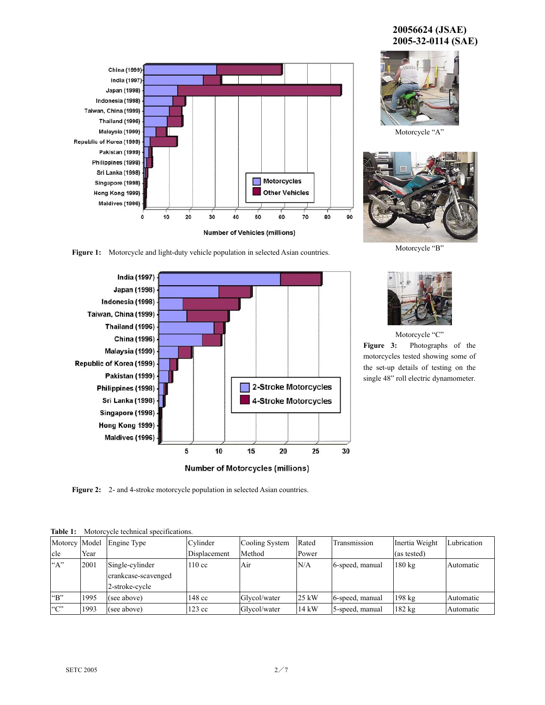# **20056624 (JSAE) 2005-32-0114 (SAE)**





Motorcycle "A"



Motorcycle "B"

**Figure 1:** Motorcycle and light-duty vehicle population in selected Asian countries.



Motorcycle "C"

**Figure 3:** Photographs of the motorcycles tested showing some of the set-up details of testing on the single 48" roll electric dynamometer.

**Figure 2:** 2- and 4-stroke motorcycle population in selected Asian countries.

|                            |      | Motorcy Model Engine Type                                | Cylinder         | Cooling System | Rated           | Transmission    | Inertia Weight   | Lubrication |
|----------------------------|------|----------------------------------------------------------|------------------|----------------|-----------------|-----------------|------------------|-------------|
| cle                        | Year |                                                          | Displacement     | Method         | Power           |                 | (as tested)      |             |
| $A$ "                      | 2001 | Single-cylinder<br>crankcase-scavenged<br>2-stroke-cycle | $110 \text{ cc}$ | Air            | N/A             | 6-speed, manual | $180 \text{ kg}$ | Automatic   |
| $\mathrm{H}^{\mathrm{op}}$ | 1995 | (see above)                                              | 148 cc           | Glvcol/water   | $25 \text{ kW}$ | 6-speed, manual | $198 \text{ kg}$ | Automatic   |
| C                          | 1993 | (see above)                                              | $123 \text{ cc}$ | Glycol/water   | 14 kW           | 5-speed, manual | 182 kg           | Automatic   |

**Table 1:** Motorcycle technical specifications.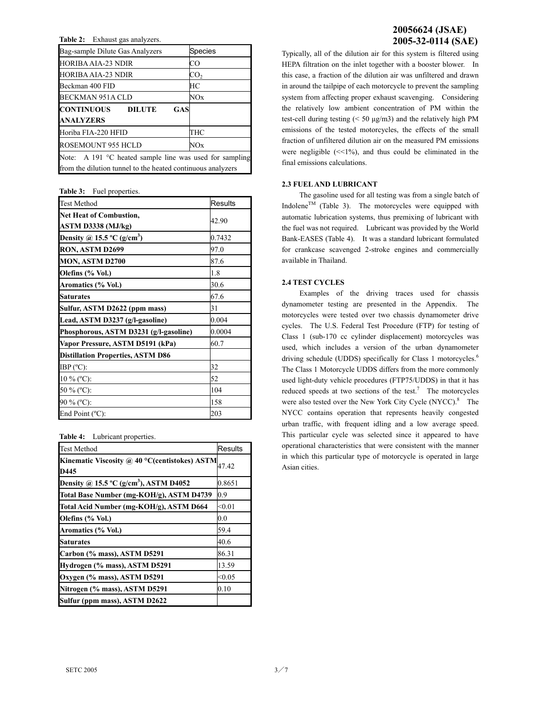**Table 2:** Exhaust gas analyzers.

| Bag-sample Dilute Gas Analyzers                                  | Species         |  |  |  |  |
|------------------------------------------------------------------|-----------------|--|--|--|--|
| HORIBA AIA-23 NDIR                                               | CO              |  |  |  |  |
| HORIBA AIA-23 NDIR                                               | CO <sub>2</sub> |  |  |  |  |
| Beckman 400 FID                                                  | HС              |  |  |  |  |
| BECKMAN 951A CLD                                                 | NOx             |  |  |  |  |
| CONTINUOUS<br><b>DILUTE</b><br>GAS                               |                 |  |  |  |  |
| <b>ANALYZERS</b>                                                 |                 |  |  |  |  |
| Horiba FIA-220 HFID                                              | THC             |  |  |  |  |
| ROSEMOUNT 955 HCLD                                               | NOx             |  |  |  |  |
| Note: A 191 $\degree$ C heated sample line was used for sampling |                 |  |  |  |  |
| from the dilution tunnel to the heated continuous analyzers      |                 |  |  |  |  |

**Table 3:** Fuel properties.

| <b>Test Method</b>                                          | <b>Results</b> |  |  |
|-------------------------------------------------------------|----------------|--|--|
| <b>Net Heat of Combustion,</b><br><b>ASTM D3338 (MJ/kg)</b> | 42.90          |  |  |
| Density @ 15.5 $^{\circ}$ C (g/cm <sup>3</sup> )            | 0.7432         |  |  |
| RON, ASTM D2699                                             | 97.0           |  |  |
| MON, ASTM D2700                                             | 87.6           |  |  |
| Olefins (% Vol.)                                            | 1.8            |  |  |
| <b>Aromatics (% Vol.)</b>                                   | 30.6           |  |  |
| <b>Saturates</b>                                            | 67.6           |  |  |
| Sulfur, ASTM D2622 (ppm mass)                               | 31             |  |  |
| Lead, ASTM D3237 (g/l-gasoline)                             | 0.004          |  |  |
| Phosphorous, ASTM D3231 (g/l-gasoline)                      | 0.0004         |  |  |
| Vapor Pressure, ASTM D5191 (kPa)                            | 60.7           |  |  |
| <b>Distillation Properties, ASTM D86</b>                    |                |  |  |
| IBP $(^{\circ}C)$ :                                         | 32             |  |  |
| 10 % (°C):                                                  | 52             |  |  |
| 50 % (°C):                                                  | 104            |  |  |
| 90 % (°C):                                                  | 158            |  |  |
| End Point $(^{\circ}C)$ :                                   | 203            |  |  |

**Table 4:** Lubricant properties.

| <b>Test Method</b>                                                      | <b>Results</b> |
|-------------------------------------------------------------------------|----------------|
| <b>Kinematic Viscosity @ 40 °C(centistokes) ASTM</b> $_{47.42}$<br>D445 |                |
| Density @ 15.5 $^{\circ}$ C (g/cm <sup>3</sup> ), ASTM D4052            | 0.8651         |
| Total Base Number (mg-KOH/g), ASTM D4739                                | 0.9            |
| Total Acid Number (mg-KOH/g), ASTM D664                                 | < 0.01         |
| Olefins (% Vol.)                                                        | 0.0            |
| Aromatics (% Vol.)                                                      | 59.4           |
| <b>Saturates</b>                                                        | 40.6           |
| Carbon (% mass), ASTM D5291                                             | 86.31          |
| Hydrogen (% mass), ASTM D5291                                           | 13.59          |
| Oxygen (% mass), ASTM D5291                                             | < 0.05         |
| Nitrogen (% mass), ASTM D5291                                           | 0.10           |
| Sulfur (ppm mass), ASTM D2622                                           |                |

# **20056624 (JSAE) 2005-32-0114 (SAE)**

Typically, all of the dilution air for this system is filtered using HEPA filtration on the inlet together with a booster blower. In this case, a fraction of the dilution air was unfiltered and drawn in around the tailpipe of each motorcycle to prevent the sampling system from affecting proper exhaust scavenging. Considering the relatively low ambient concentration of PM within the test-cell during testing (< 50 µg/m3) and the relatively high PM emissions of the tested motorcycles, the effects of the small fraction of unfiltered dilution air on the measured PM emissions were negligible  $(\leq 1\%)$ , and thus could be eliminated in the final emissions calculations.

# **2.3 FUEL AND LUBRICANT**

The gasoline used for all testing was from a single batch of Indolene<sup>TM</sup> (Table 3). The motorcycles were equipped with automatic lubrication systems, thus premixing of lubricant with the fuel was not required. Lubricant was provided by the World Bank-EASES (Table 4). It was a standard lubricant formulated for crankcase scavenged 2-stroke engines and commercially available in Thailand.

# **2.4 TEST CYCLES**

Examples of the driving traces used for chassis dynamometer testing are presented in the Appendix. The motorcycles were tested over two chassis dynamometer drive cycles. The U.S. Federal Test Procedure (FTP) for testing of Class 1 (sub-170 cc cylinder displacement) motorcycles was used, which includes a version of the urban dynamometer driving schedule (UDDS) specifically for Class 1 motorcycles.<sup>6</sup> The Class 1 Motorcycle UDDS differs from the more commonly used light-duty vehicle procedures (FTP75/UDDS) in that it has reduced speeds at two sections of the test.<sup>7</sup> The motorcycles were also tested over the New York City Cycle (NYCC).<sup>8</sup> The NYCC contains operation that represents heavily congested urban traffic, with frequent idling and a low average speed. This particular cycle was selected since it appeared to have operational characteristics that were consistent with the manner in which this particular type of motorcycle is operated in large Asian cities.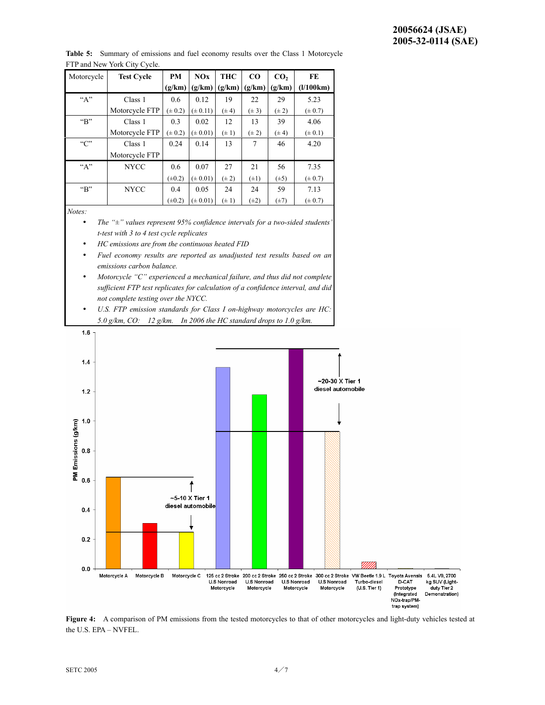**Table 5:** Summary of emissions and fuel economy results over the Class 1 Motorcycle FTP and New York City Cycle.

| Motorcycle    | <b>Test Cycle</b> | <b>PM</b>   | NOx          | <b>THC</b> | CO        | CO <sub>2</sub> | FE          |
|---------------|-------------------|-------------|--------------|------------|-----------|-----------------|-------------|
|               |                   | (g/km)      | (g/km)       | (g/km)     | (g/km)    | (g/km)          | (1/100km)   |
| ``A"          | Class 1           | 0.6         | 0.12         | 19         | 22        | 29              | 5.23        |
|               | Motorcycle FTP    | $(\pm 0.2)$ | $(\pm 0.11)$ | $(\pm 4)$  | $(\pm 3)$ | $(\pm 2)$       | $(\pm 0.7)$ |
| $~\rm{``B''}$ | Class 1           | 0.3         | 0.02         | 12         | 13        | 39              | 4.06        |
|               | Motorcycle FTP    | $(\pm 0.2)$ | $(\pm 0.01)$ | $(\pm 1)$  | $(\pm 2)$ | $(\pm 4)$       | $(\pm 0.1)$ |
| C             | Class 1           | 0.24        | 0.14         | 13         | 7         | 46              | 4.20        |
|               | Motorcycle FTP    |             |              |            |           |                 |             |
| "A"           | <b>NYCC</b>       | 0.6         | 0.07         | 27         | 21        | 56              | 7.35        |
|               |                   | $(\pm 0.2)$ | $(\pm 0.01)$ | $(\pm 2)$  | $(\pm 1)$ | $(\pm 5)$       | $(\pm 0.7)$ |
| $~\rm{``B''}$ | <b>NYCC</b>       | 0.4         | 0.05         | 24         | 24        | 59              | 7.13        |
|               |                   | $(\pm 0.2)$ | $(\pm 0.01)$ | $(\pm 1)$  | $(\pm 2)$ | $(\pm 7)$       | $(\pm 0.7)$ |
| $\mathbf{r}$  |                   |             |              |            |           |                 |             |

*Notes:* 

- *The "±" values represent 95% confidence intervals for a two-sided students' t-test with 3 to 4 test cycle replicates*
- *HC emissions are from the continuous heated FID*
- *Fuel economy results are reported as unadjusted test results based on an emissions carbon balance.*
- *Motorcycle "C" experienced a mechanical failure, and thus did not complete sufficient FTP test replicates for calculation of a confidence interval, and did not complete testing over the NYCC.*
- *U.S. FTP emission standards for Class I on-highway motorcycles are HC: 5.0 g/km, CO: 12 g/km. In 2006 the HC standard drops to 1.0 g/km.*



Figure 4: A comparison of PM emissions from the tested motorcycles to that of other motorcycles and light-duty vehicles tested at the U.S. EPA – NVFEL.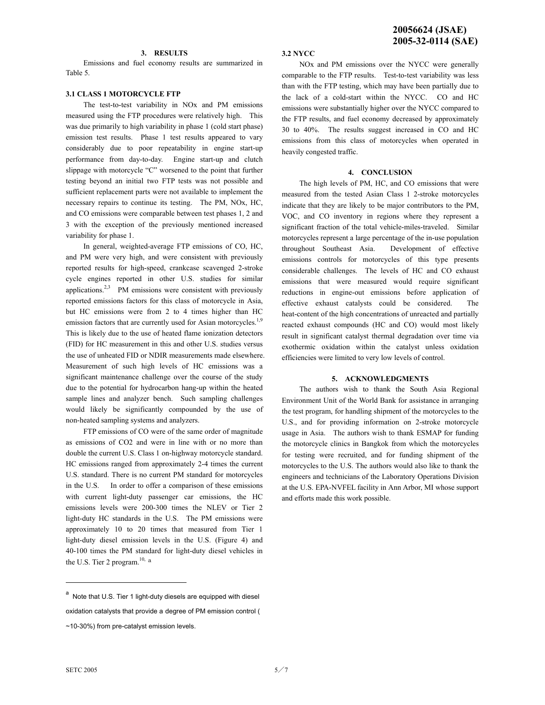## **3. RESULTS**

Emissions and fuel economy results are summarized in Table 5.

## **3.1 CLASS 1 MOTORCYCLE FTP**

The test-to-test variability in NOx and PM emissions measured using the FTP procedures were relatively high. This was due primarily to high variability in phase 1 (cold start phase) emission test results. Phase 1 test results appeared to vary considerably due to poor repeatability in engine start-up performance from day-to-day. Engine start-up and clutch slippage with motorcycle "C" worsened to the point that further testing beyond an initial two FTP tests was not possible and sufficient replacement parts were not available to implement the necessary repairs to continue its testing. The PM, NOx, HC, and CO emissions were comparable between test phases 1, 2 and 3 with the exception of the previously mentioned increased variability for phase 1.

In general, weighted-average FTP emissions of CO, HC, and PM were very high, and were consistent with previously reported results for high-speed, crankcase scavenged 2-stroke cycle engines reported in other U.S. studies for similar applications.<sup>2,3</sup> PM emissions were consistent with previously reported emissions factors for this class of motorcycle in Asia, but HC emissions were from 2 to 4 times higher than HC emission factors that are currently used for Asian motorcycles.<sup>1,9</sup> This is likely due to the use of heated flame ionization detectors (FID) for HC measurement in this and other U.S. studies versus the use of unheated FID or NDIR measurements made elsewhere. Measurement of such high levels of HC emissions was a significant maintenance challenge over the course of the study due to the potential for hydrocarbon hang-up within the heated sample lines and analyzer bench. Such sampling challenges would likely be significantly compounded by the use of non-heated sampling systems and analyzers.

FTP emissions of CO were of the same order of magnitude as emissions of CO2 and were in line with or no more than double the current U.S. Class 1 on-highway motorcycle standard. HC emissions ranged from approximately 2-4 times the current U.S. standard. There is no current PM standard for motorcycles in the U.S. In order to offer a comparison of these emissions with current light-duty passenger car emissions, the HC emissions levels were 200-300 times the NLEV or Tier 2 light-duty HC standards in the U.S. The PM emissions were approximately 10 to 20 times that measured from Tier 1 light-duty diesel emission levels in the U.S. (Figure 4) and 40-100 times the PM standard for light-duty diesel vehicles in the U.S. Tier 2 program.<sup>10, a</sup>

#### **3.2 NYCC**

NOx and PM emissions over the NYCC were generally comparable to the FTP results. Test-to-test variability was less than with the FTP testing, which may have been partially due to the lack of a cold-start within the NYCC. CO and HC emissions were substantially higher over the NYCC compared to the FTP results, and fuel economy decreased by approximately 30 to 40%. The results suggest increased in CO and HC emissions from this class of motorcycles when operated in heavily congested traffic.

#### **4. CONCLUSION**

The high levels of PM, HC, and CO emissions that were measured from the tested Asian Class 1 2-stroke motorcycles indicate that they are likely to be major contributors to the PM, VOC, and CO inventory in regions where they represent a significant fraction of the total vehicle-miles-traveled. Similar motorcycles represent a large percentage of the in-use population throughout Southeast Asia. Development of effective emissions controls for motorcycles of this type presents considerable challenges. The levels of HC and CO exhaust emissions that were measured would require significant reductions in engine-out emissions before application of effective exhaust catalysts could be considered. The heat-content of the high concentrations of unreacted and partially reacted exhaust compounds (HC and CO) would most likely result in significant catalyst thermal degradation over time via exothermic oxidation within the catalyst unless oxidation efficiencies were limited to very low levels of control.

#### **5. ACKNOWLEDGMENTS**

The authors wish to thank the South Asia Regional Environment Unit of the World Bank for assistance in arranging the test program, for handling shipment of the motorcycles to the U.S., and for providing information on 2-stroke motorcycle usage in Asia. The authors wish to thank ESMAP for funding the motorcycle clinics in Bangkok from which the motorcycles for testing were recruited, and for funding shipment of the motorcycles to the U.S. The authors would also like to thank the engineers and technicians of the Laboratory Operations Division at the U.S. EPA-NVFEL facility in Ann Arbor, MI whose support and efforts made this work possible.

l

a Note that U.S. Tier 1 light-duty diesels are equipped with diesel oxidation catalysts that provide a degree of PM emission control ( ~10-30%) from pre-catalyst emission levels.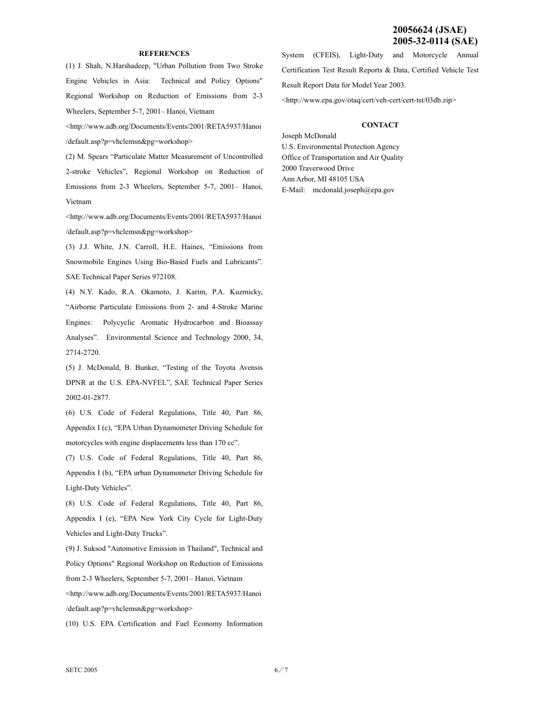# **20056624 (JSAE) 2005-32-0114 (SAE)**

#### **REFERENCES**

(1) J. Shah, N.Harshadeep, "Urban Pollution from Two Stroke Engine Vehicles in Asia: Technical and Policy Options" Regional Workshop on Reduction of Emissions from 2-3 Wheelers, September 5-7, 2001– Hanoi, Vietnam

<http://www.adb.org/Documents/Events/2001/RETA5937/Hanoi /default.asp?p=vhclemsn&pg=workshop>

(2) M. Spears "Particulate Matter Measurement of Uncontrolled 2-stroke Vehicles", Regional Workshop on Reduction of Emissions from 2-3 Wheelers, September 5-7, 2001– Hanoi, Vietnam

<http://www.adb.org/Documents/Events/2001/RETA5937/Hanoi /default.asp?p=vhclemsn&pg=workshop>

(3) J.J. White, J.N. Carroll, H.E. Haines, "Emissions from Snowmobile Engines Using Bio-Based Fuels and Lubricants". SAE Technical Paper Series 972108.

(4) N.Y. Kado, R.A. Okamoto, J. Karim, P.A. Kuzmicky, "Airborne Particulate Emissions from 2- and 4-Stroke Marine Engines: Polycyclic Aromatic Hydrocarbon and Bioassay Analyses". Environmental Science and Technology 2000, 34, 2714-2720.

(5) J. McDonald, B. Bunker, "Testing of the Toyota Avensis DPNR at the U.S. EPA-NVFEL", SAE Technical Paper Series 2002-01-2877.

(6) U.S. Code of Federal Regulations, Title 40, Part 86, Appendix I (c), "EPA Urban Dynamometer Driving Schedule for motorcycles with engine displacements less than 170 cc".

(7) U.S. Code of Federal Regulations, Title 40, Part 86, Appendix I (b), "EPA urban Dynamometer Driving Schedule for Light-Duty Vehicles".

(8) U.S. Code of Federal Regulations, Title 40, Part 86, Appendix I (e), "EPA New York City Cycle for Light-Duty Vehicles and Light-Duty Trucks".

(9) J. Suksod "Automotive Emission in Thailand", Technical and Policy Options" Regional Workshop on Reduction of Emissions from 2-3 Wheelers, September 5-7, 2001– Hanoi, Vietnam

<http://www.adb.org/Documents/Events/2001/RETA5937/Hanoi /default.asp?p=vhclemsn&pg=workshop>

(10) U.S. EPA Certification and Fuel Economy Information

System (CFEIS), Light-Duty and Motorcycle Annual Certification Test Result Reports & Data, Certified Vehicle Test Result Report Data for Model Year 2003. <http://www.epa.gov/otaq/cert/veh-cert/cert-tst/03db.zip>

#### **CONTACT**

Joseph McDonald U.S. Environmental Protection Agency Office of Transportation and Air Quality 2000 Traverwood Drive Ann Arbor, MI 48105 USA E-Mail: mcdonald.joseph@epa.gov